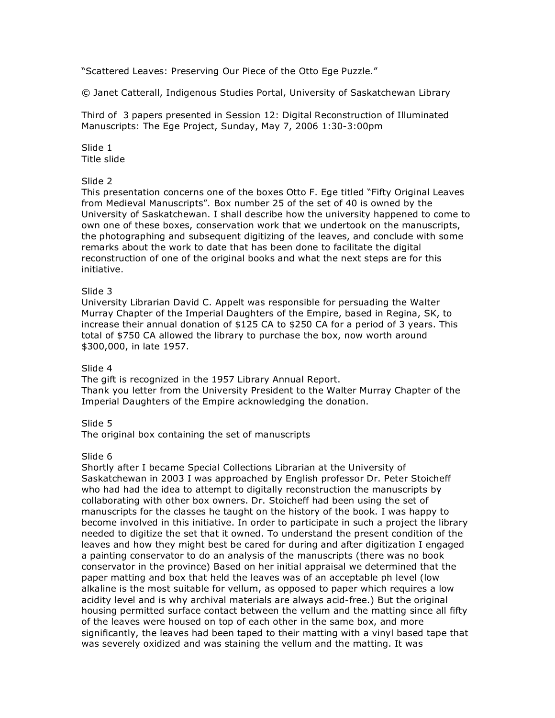"Scattered Leaves: Preserving Our Piece of the Otto Ege Puzzle."

© Janet Catterall, Indigenous Studies Portal, University of Saskatchewan Library

Third of 3 papers presented in Session 12: Digital Reconstruction of Illuminated Manuscripts: The Ege Project, Sunday, May 7, 2006 1:30-3:00pm

Slide 1 Title slide

# Slide 2

This presentation concerns one of the boxes Otto F. Ege titled "Fifty Original Leaves from Medieval Manuscripts"*.* Box number 25 of the set of 40 is owned by the University of Saskatchewan. I shall describe how the university happened to come to own one of these boxes, conservation work that we undertook on the manuscripts, the photographing and subsequent digitizing of the leaves, and conclude with some remarks about the work to date that has been done to facilitate the digital reconstruction of one of the original books and what the next steps are for this initiative.

### Slide 3

University Librarian David C. Appelt was responsible for persuading the Walter Murray Chapter of the Imperial Daughters of the Empire, based in Regina, SK, to increase their annual donation of \$125 CA to \$250 CA for a period of 3 years. This total of \$750 CA allowed the library to purchase the box, now worth around \$300,000, in late 1957.

### Slide 4

The gift is recognized in the 1957 Library Annual Report. Thank you letter from the University President to the Walter Murray Chapter of the Imperial Daughters of the Empire acknowledging the donation.

### Slide 5

The original box containing the set of manuscripts

### Slide 6

Shortly after I became Special Collections Librarian at the University of Saskatchewan in 2003 I was approached by English professor Dr. Peter Stoicheff who had had the idea to attempt to digitally reconstruction the manuscripts by collaborating with other box owners. Dr. Stoicheff had been using the set of manuscripts for the classes he taught on the history of the book. I was happy to become involved in this initiative. In order to participate in such a project the library needed to digitize the set that it owned. To understand the present condition of the leaves and how they might best be cared for during and after digitization I engaged a painting conservator to do an analysis of the manuscripts (there was no book conservator in the province) Based on her initial appraisal we determined that the paper matting and box that held the leaves was of an acceptable ph level (low alkaline is the most suitable for vellum, as opposed to paper which requires a low acidity level and is why archival materials are always acid-free.) But the original housing permitted surface contact between the vellum and the matting since all fifty of the leaves were housed on top of each other in the same box, and more significantly, the leaves had been taped to their matting with a vinyl based tape that was severely oxidized and was staining the vellum and the matting. It was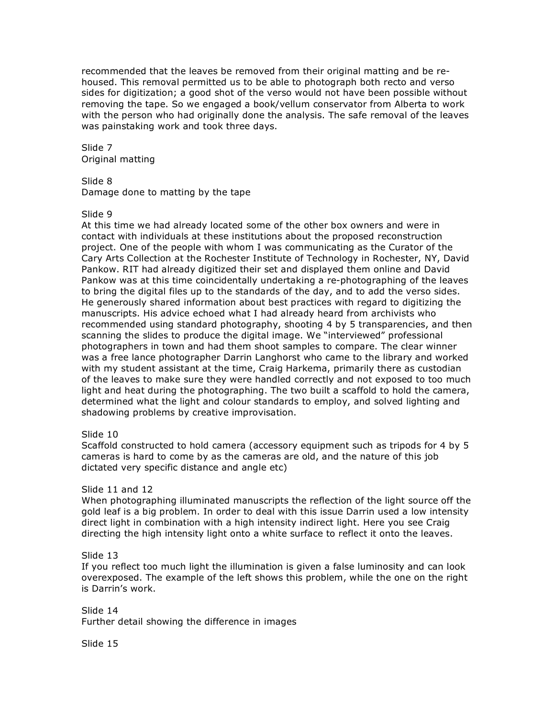recommended that the leaves be removed from their original matting and be rehoused. This removal permitted us to be able to photograph both recto and verso sides for digitization; a good shot of the verso would not have been possible without removing the tape. So we engaged a book/vellum conservator from Alberta to work with the person who had originally done the analysis. The safe removal of the leaves was painstaking work and took three days.

Slide 7 Original matting

Slide 8

Damage done to matting by the tape

Slide 9

At this time we had already located some of the other box owners and were in contact with individuals at these institutions about the proposed reconstruction project. One of the people with whom I was communicating as the Curator of the Cary Arts Collection at the Rochester Institute of Technology in Rochester, NY, David Pankow. RIT had already digitized their set and displayed them online and David Pankow was at this time coincidentally undertaking a re-photographing of the leaves to bring the digital files up to the standards of the day, and to add the verso sides. He generously shared information about best practices with regard to digitizing the manuscripts. His advice echoed what I had already heard from archivists who recommended using standard photography, shooting 4 by 5 transparencies, and then scanning the slides to produce the digital image. We "interviewed" professional photographers in town and had them shoot samples to compare. The clear winner was a free lance photographer Darrin Langhorst who came to the library and worked with my student assistant at the time, Craig Harkema, primarily there as custodian of the leaves to make sure they were handled correctly and not exposed to too much light and heat during the photographing. The two built a scaffold to hold the camera, determined what the light and colour standards to employ, and solved lighting and shadowing problems by creative improvisation.

## Slide 10

Scaffold constructed to hold camera (accessory equipment such as tripods for 4 by 5 cameras is hard to come by as the cameras are old, and the nature of this job dictated very specific distance and angle etc)

## Slide 11 and 12

When photographing illuminated manuscripts the reflection of the light source off the gold leaf is a big problem. In order to deal with this issue Darrin used a low intensity direct light in combination with a high intensity indirect light. Here you see Craig directing the high intensity light onto a white surface to reflect it onto the leaves.

## Slide 13

If you reflect too much light the illumination is given a false luminosity and can look overexposed. The example of the left shows this problem, while the one on the right is Darrin's work.

Slide 14 Further detail showing the difference in images

Slide 15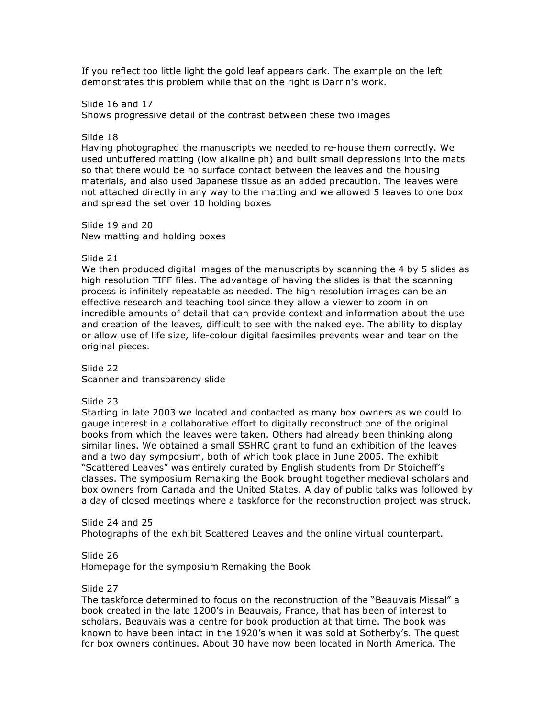If you reflect too little light the gold leaf appears dark. The example on the left demonstrates this problem while that on the right is Darrin's work.

Slide 16 and 17

Shows progressive detail of the contrast between these two images

#### Slide 18

Having photographed the manuscripts we needed to re-house them correctly. We used unbuffered matting (low alkaline ph) and built small depressions into the mats so that there would be no surface contact between the leaves and the housing materials, and also used Japanese tissue as an added precaution. The leaves were not attached directly in any way to the matting and we allowed 5 leaves to one box and spread the set over 10 holding boxes

Slide 19 and 20 New matting and holding boxes

#### Slide 21

We then produced digital images of the manuscripts by scanning the 4 by 5 slides as high resolution TIFF files. The advantage of having the slides is that the scanning process is infinitely repeatable as needed. The high resolution images can be an effective research and teaching tool since they allow a viewer to zoom in on incredible amounts of detail that can provide context and information about the use and creation of the leaves, difficult to see with the naked eye. The ability to display or allow use of life size, life-colour digital facsimiles prevents wear and tear on the original pieces.

Slide 22 Scanner and transparency slide

### Slide 23

Starting in late 2003 we located and contacted as many box owners as we could to gauge interest in a collaborative effort to digitally reconstruct one of the original books from which the leaves were taken. Others had already been thinking along similar lines. We obtained a small SSHRC grant to fund an exhibition of the leaves and a two day symposium, both of which took place in June 2005. The exhibit "Scattered Leaves" was entirely curated by English students from Dr Stoicheff's classes. The symposium Remaking the Book brought together medieval scholars and box owners from Canada and the United States. A day of public talks was followed by a day of closed meetings where a taskforce for the reconstruction project was struck.

### Slide 24 and 25

Photographs of the exhibit Scattered Leaves and the online virtual counterpart.

### Slide 26

Homepage for the symposium Remaking the Book

#### Slide 27

The taskforce determined to focus on the reconstruction of the "Beauvais Missal" a book created in the late 1200's in Beauvais, France, that has been of interest to scholars. Beauvais was a centre for book production at that time. The book was known to have been intact in the 1920's when it was sold at Sotherby's. The quest for box owners continues. About 30 have now been located in North America. The